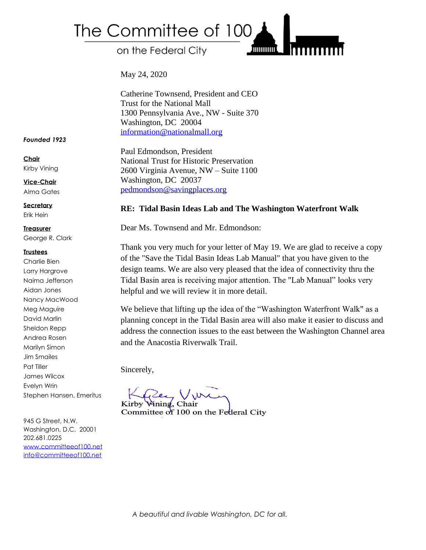## The Committee of 100

on the Federal City

May 24, 2020

Catherine Townsend, President and CEO Trust for the National Mall 1300 Pennsylvania Ave., NW - Suite 370 Washington, DC 20004 [information@nationalmall.org](mailto:information@nationalmall.org)

Paul Edmondson, President National Trust for Historic Preservation 2600 Virginia Avenue, NW – Suite 1100 Washington, DC 20037 [pedmondson@savingplaces.org](mailto:pedmondson@savingplaces.org)

## **RE: Tidal Basin Ideas Lab and The Washington Waterfront Walk**

Dear Ms. Townsend and Mr. Edmondson:

Thank you very much for your letter of May 19. We are glad to receive a copy of the "Save the Tidal Basin Ideas Lab Manual" that you have given to the design teams. We are also very pleased that the idea of connectivity thru the Tidal Basin area is receiving major attention. The "Lab Manual" looks very helpful and we will review it in more detail.

**THILITING** 

We believe that lifting up the idea of the "Washington Waterfront Walk" as a planning concept in the Tidal Basin area will also make it easier to discuss and address the connection issues to the east between the Washington Channel area and the Anacostia Riverwalk Trail.

Sincerely,

Kirby Wining, Chair Committee of 100 on the Federal City

*Founded 1923*

**Chair** Kirby Vining

**Vice-Chair** Alma Gates

**Secretary** Erik Hein

**Treasurer** George R. Clark

## **Trustees**

Charlie Bien Larry Hargrove Naima Jefferson Aidan Jones Nancy MacWood Meg Maguire David Marlin Sheldon Repp Andrea Rosen Marilyn Simon Jim Smailes Pat Tiller James Wilcox Evelyn Wrin Stephen Hansen, Emeritus

945 G Street, N.W. Washington, D.C. 20001 202.681.0225 [www.committeeof100.net](http://www.committeeof100.net/) [info@committeeof100.net](mailto:info@committeeof100.net)